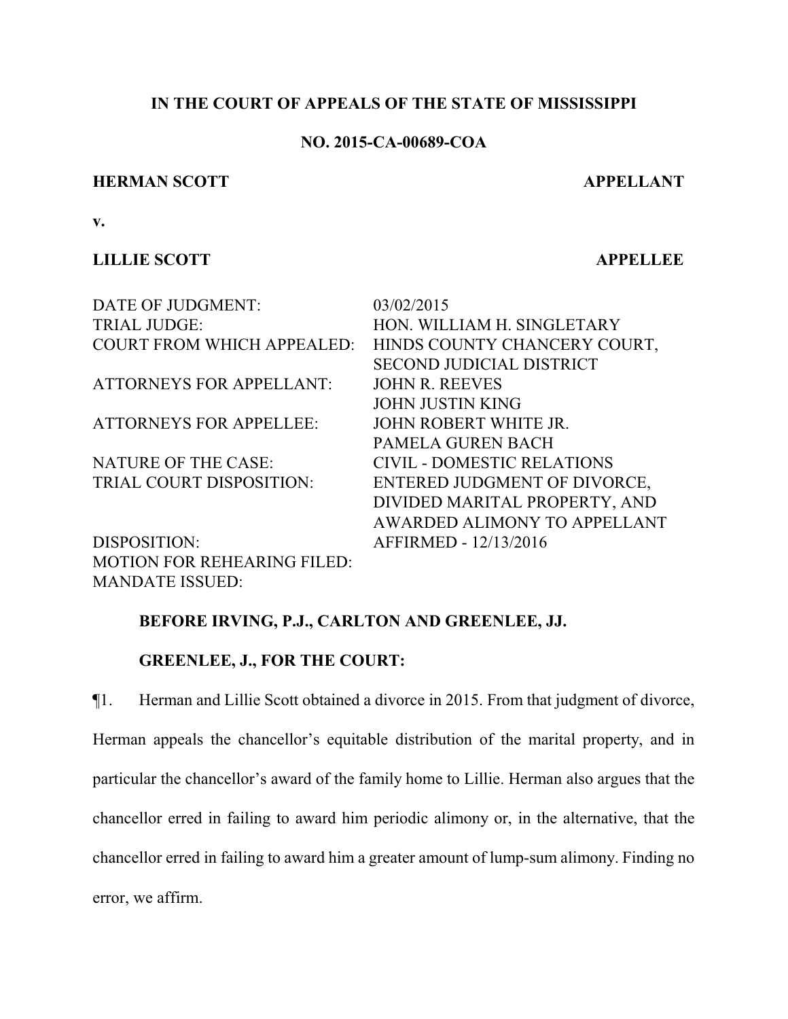## **IN THE COURT OF APPEALS OF THE STATE OF MISSISSIPPI**

## **NO. 2015-CA-00689-COA**

### **HERMAN SCOTT APPELLANT**

**v.**

# **LILLIE SCOTT APPELLEE**

| DATE OF JUDGMENT:                  | 03/02/2015                        |
|------------------------------------|-----------------------------------|
| <b>TRIAL JUDGE:</b>                | HON. WILLIAM H. SINGLETARY        |
| <b>COURT FROM WHICH APPEALED:</b>  | HINDS COUNTY CHANCERY COURT,      |
|                                    | <b>SECOND JUDICIAL DISTRICT</b>   |
| <b>ATTORNEYS FOR APPELLANT:</b>    | <b>JOHN R. REEVES</b>             |
|                                    | <b>JOHN JUSTIN KING</b>           |
| <b>ATTORNEYS FOR APPELLEE:</b>     | JOHN ROBERT WHITE JR.             |
|                                    | <b>PAMELA GUREN BACH</b>          |
| <b>NATURE OF THE CASE:</b>         | <b>CIVIL - DOMESTIC RELATIONS</b> |
| TRIAL COURT DISPOSITION:           | ENTERED JUDGMENT OF DIVORCE,      |
|                                    | DIVIDED MARITAL PROPERTY, AND     |
|                                    | AWARDED ALIMONY TO APPELLANT      |
| DISPOSITION:                       | AFFIRMED - 12/13/2016             |
| <b>MOTION FOR REHEARING FILED:</b> |                                   |
| <b>MANDATE ISSUED:</b>             |                                   |

# **BEFORE IRVING, P.J., CARLTON AND GREENLEE, JJ.**

# **GREENLEE, J., FOR THE COURT:**

¶1. Herman and Lillie Scott obtained a divorce in 2015. From that judgment of divorce, Herman appeals the chancellor's equitable distribution of the marital property, and in particular the chancellor's award of the family home to Lillie. Herman also argues that the chancellor erred in failing to award him periodic alimony or, in the alternative, that the chancellor erred in failing to award him a greater amount of lump-sum alimony. Finding no error, we affirm.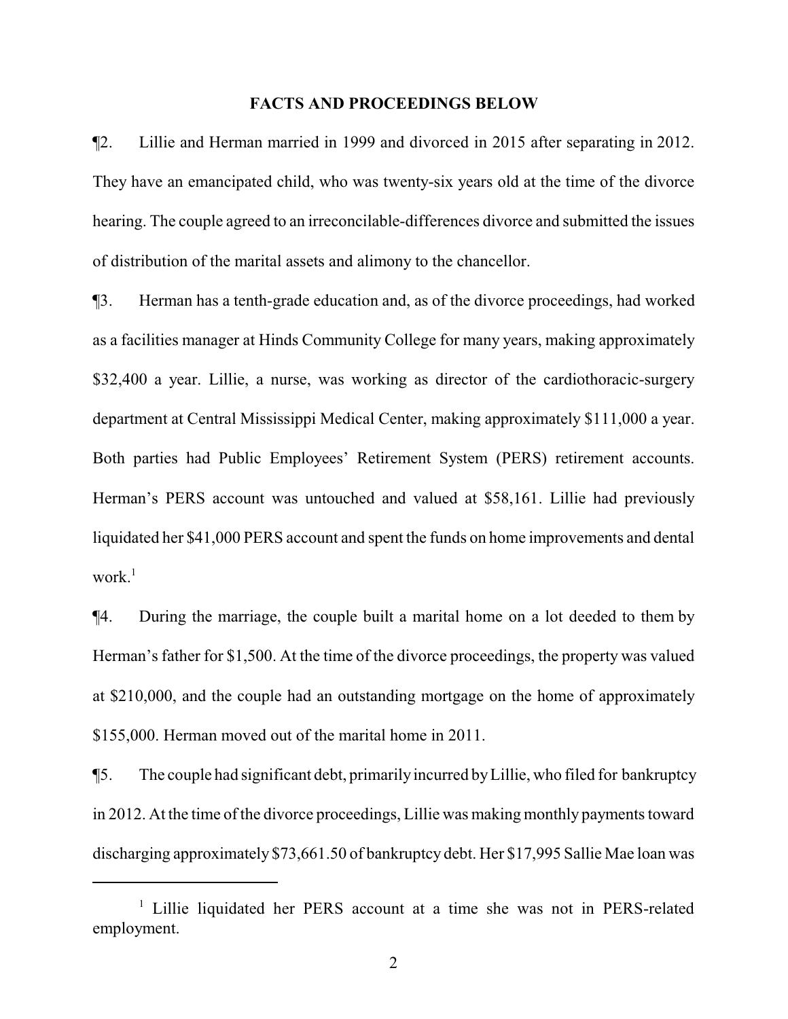#### **FACTS AND PROCEEDINGS BELOW**

¶2. Lillie and Herman married in 1999 and divorced in 2015 after separating in 2012. They have an emancipated child, who was twenty-six years old at the time of the divorce hearing. The couple agreed to an irreconcilable-differences divorce and submitted the issues of distribution of the marital assets and alimony to the chancellor.

¶3. Herman has a tenth-grade education and, as of the divorce proceedings, had worked as a facilities manager at Hinds Community College for many years, making approximately \$32,400 a year. Lillie, a nurse, was working as director of the cardiothoracic-surgery department at Central Mississippi Medical Center, making approximately \$111,000 a year. Both parties had Public Employees' Retirement System (PERS) retirement accounts. Herman's PERS account was untouched and valued at \$58,161. Lillie had previously liquidated her \$41,000 PERS account and spent the funds on home improvements and dental work $^1$ 

¶4. During the marriage, the couple built a marital home on a lot deeded to them by Herman's father for \$1,500. At the time of the divorce proceedings, the property was valued at \$210,000, and the couple had an outstanding mortgage on the home of approximately \$155,000. Herman moved out of the marital home in 2011.

¶5. The couple had significant debt, primarilyincurred byLillie, who filed for bankruptcy in 2012. At the time of the divorce proceedings, Lillie was making monthly payments toward discharging approximately \$73,661.50 of bankruptcy debt. Her \$17,995 Sallie Mae loan was

<sup>&</sup>lt;sup>1</sup> Lillie liquidated her PERS account at a time she was not in PERS-related employment.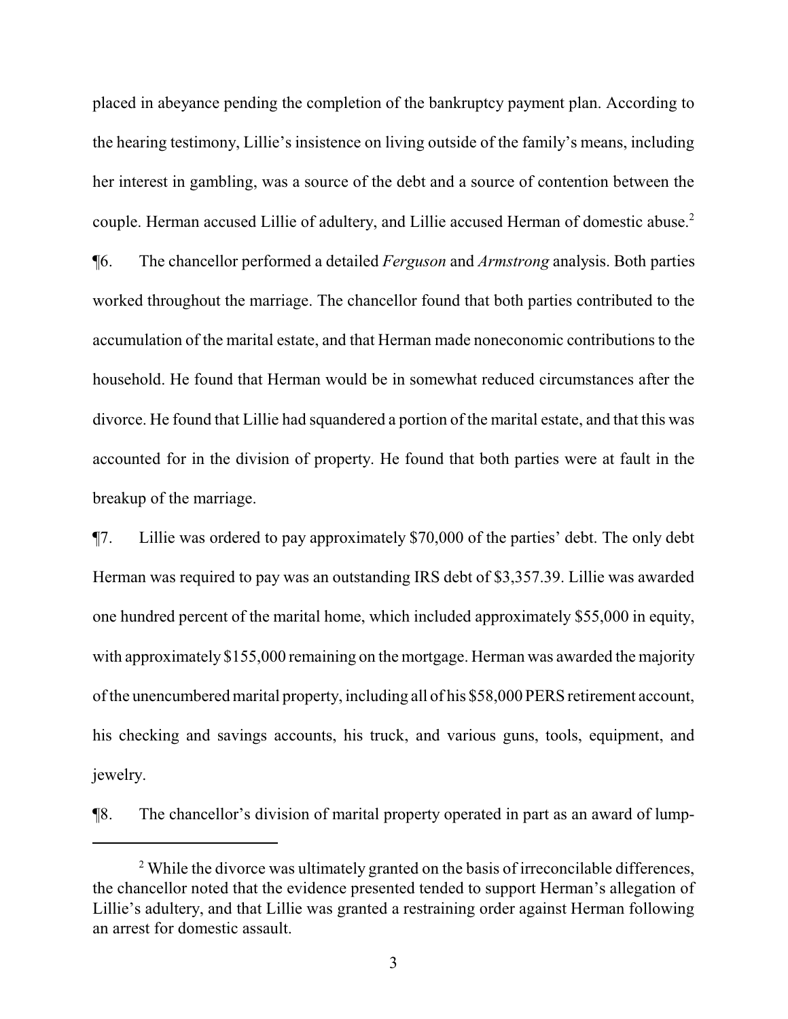placed in abeyance pending the completion of the bankruptcy payment plan. According to the hearing testimony, Lillie's insistence on living outside of the family's means, including her interest in gambling, was a source of the debt and a source of contention between the couple. Herman accused Lillie of adultery, and Lillie accused Herman of domestic abuse.<sup>2</sup> ¶6. The chancellor performed a detailed *Ferguson* and *Armstrong* analysis. Both parties worked throughout the marriage. The chancellor found that both parties contributed to the accumulation of the marital estate, and that Herman made noneconomic contributions to the household. He found that Herman would be in somewhat reduced circumstances after the divorce. He found that Lillie had squandered a portion of the marital estate, and that this was accounted for in the division of property. He found that both parties were at fault in the breakup of the marriage.

¶7. Lillie was ordered to pay approximately \$70,000 of the parties' debt. The only debt Herman was required to pay was an outstanding IRS debt of \$3,357.39. Lillie was awarded one hundred percent of the marital home, which included approximately \$55,000 in equity, with approximately \$155,000 remaining on the mortgage. Herman was awarded the majority of the unencumbered marital property, including all of his \$58,000 PERS retirement account, his checking and savings accounts, his truck, and various guns, tools, equipment, and jewelry.

¶8. The chancellor's division of marital property operated in part as an award of lump-

<sup>&</sup>lt;sup>2</sup> While the divorce was ultimately granted on the basis of irreconcilable differences, the chancellor noted that the evidence presented tended to support Herman's allegation of Lillie's adultery, and that Lillie was granted a restraining order against Herman following an arrest for domestic assault.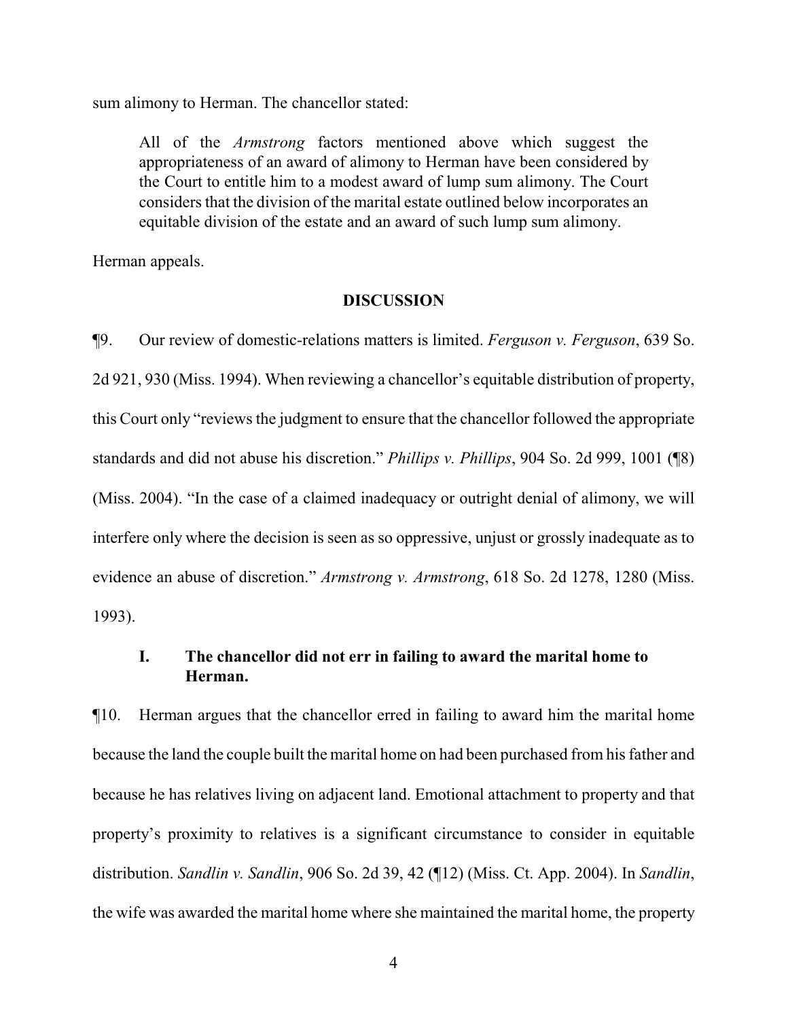sum alimony to Herman. The chancellor stated:

All of the *Armstrong* factors mentioned above which suggest the appropriateness of an award of alimony to Herman have been considered by the Court to entitle him to a modest award of lump sum alimony. The Court considers that the division of the marital estate outlined below incorporates an equitable division of the estate and an award of such lump sum alimony.

Herman appeals.

#### **DISCUSSION**

¶9. Our review of domestic-relations matters is limited. *Ferguson v. Ferguson*, 639 So. 2d 921, 930 (Miss. 1994). When reviewing a chancellor's equitable distribution of property, this Court only "reviews the judgment to ensure that the chancellor followed the appropriate standards and did not abuse his discretion." *Phillips v. Phillips*, 904 So. 2d 999, 1001 (¶8) (Miss. 2004). "In the case of a claimed inadequacy or outright denial of alimony, we will interfere only where the decision is seen as so oppressive, unjust or grossly inadequate as to evidence an abuse of discretion." *Armstrong v. Armstrong*, 618 So. 2d 1278, 1280 (Miss. 1993).

## **I. The chancellor did not err in failing to award the marital home to Herman.**

¶10. Herman argues that the chancellor erred in failing to award him the marital home because the land the couple built the marital home on had been purchased from his father and because he has relatives living on adjacent land. Emotional attachment to property and that property's proximity to relatives is a significant circumstance to consider in equitable distribution. *Sandlin v. Sandlin*, 906 So. 2d 39, 42 (¶12) (Miss. Ct. App. 2004). In *Sandlin*, the wife was awarded the marital home where she maintained the marital home, the property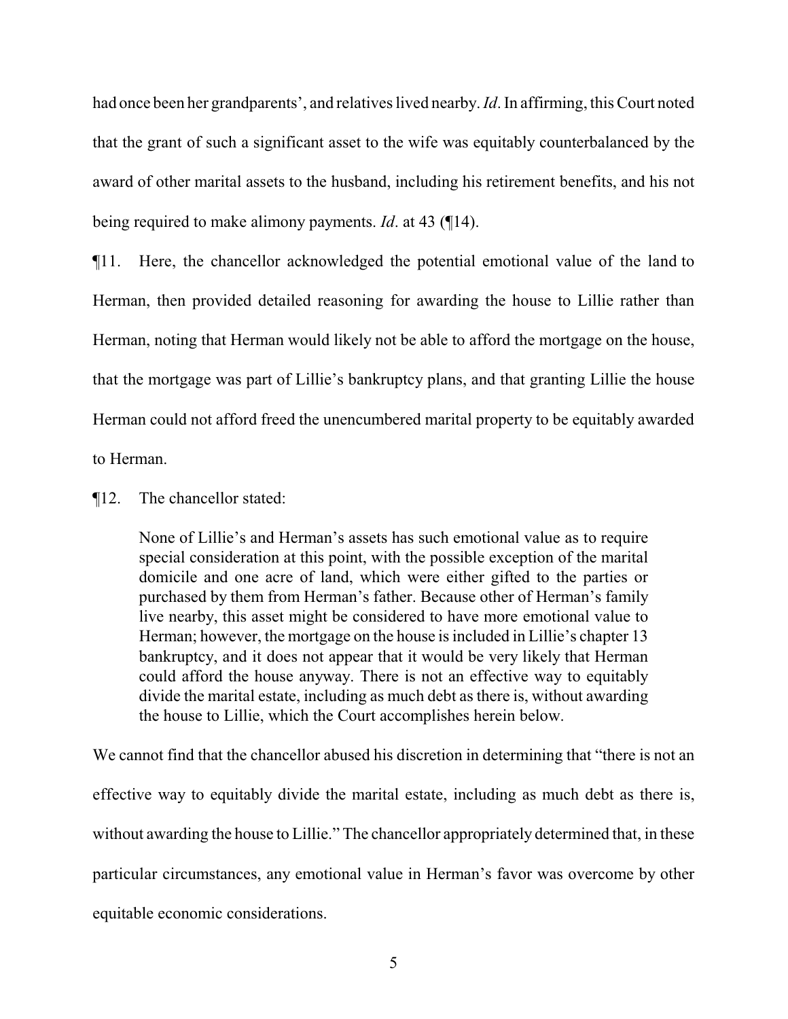had once been her grandparents', and relatives lived nearby. *Id*. In affirming, this Court noted that the grant of such a significant asset to the wife was equitably counterbalanced by the award of other marital assets to the husband, including his retirement benefits, and his not being required to make alimony payments. *Id*. at 43 (¶14).

¶11. Here, the chancellor acknowledged the potential emotional value of the land to Herman, then provided detailed reasoning for awarding the house to Lillie rather than Herman, noting that Herman would likely not be able to afford the mortgage on the house, that the mortgage was part of Lillie's bankruptcy plans, and that granting Lillie the house Herman could not afford freed the unencumbered marital property to be equitably awarded to Herman.

¶12. The chancellor stated:

None of Lillie's and Herman's assets has such emotional value as to require special consideration at this point, with the possible exception of the marital domicile and one acre of land, which were either gifted to the parties or purchased by them from Herman's father. Because other of Herman's family live nearby, this asset might be considered to have more emotional value to Herman; however, the mortgage on the house is included in Lillie's chapter 13 bankruptcy, and it does not appear that it would be very likely that Herman could afford the house anyway. There is not an effective way to equitably divide the marital estate, including as much debt as there is, without awarding the house to Lillie, which the Court accomplishes herein below.

We cannot find that the chancellor abused his discretion in determining that "there is not an effective way to equitably divide the marital estate, including as much debt as there is, without awarding the house to Lillie." The chancellor appropriately determined that, in these particular circumstances, any emotional value in Herman's favor was overcome by other equitable economic considerations.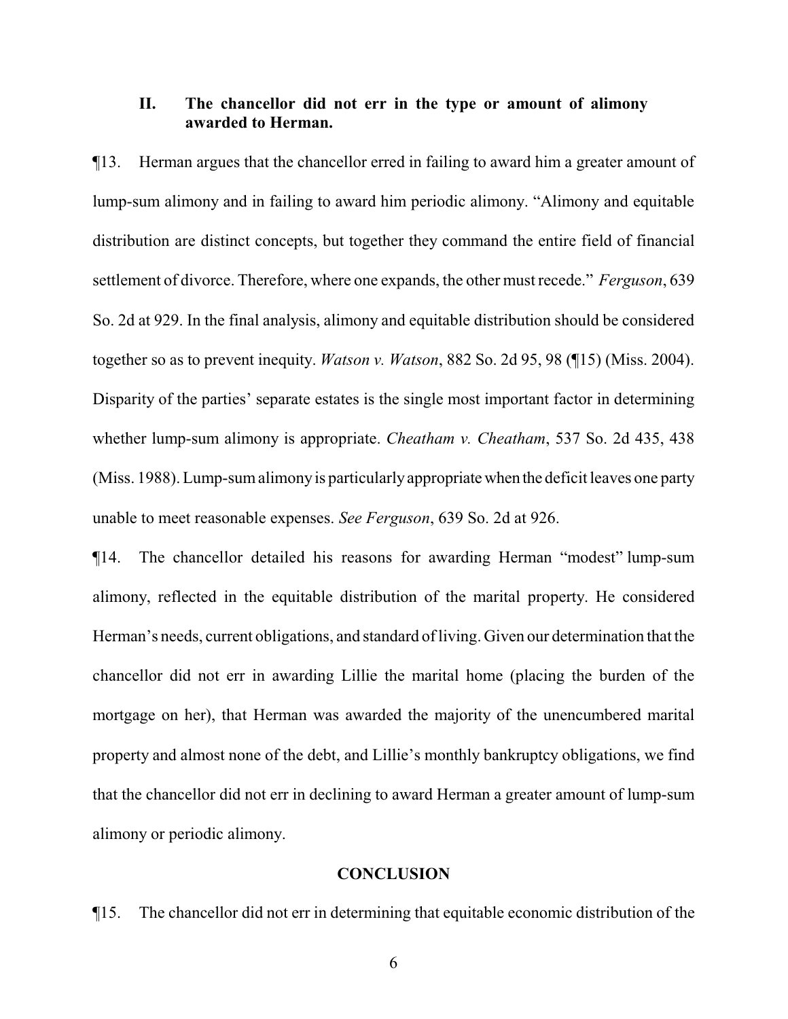## **II. The chancellor did not err in the type or amount of alimony awarded to Herman.**

¶13. Herman argues that the chancellor erred in failing to award him a greater amount of lump-sum alimony and in failing to award him periodic alimony. "Alimony and equitable distribution are distinct concepts, but together they command the entire field of financial settlement of divorce. Therefore, where one expands, the other must recede." *Ferguson*, 639 So. 2d at 929. In the final analysis, alimony and equitable distribution should be considered together so as to prevent inequity. *Watson v. Watson*, 882 So. 2d 95, 98 (¶15) (Miss. 2004). Disparity of the parties' separate estates is the single most important factor in determining whether lump-sum alimony is appropriate. *Cheatham v. Cheatham*, 537 So. 2d 435, 438 (Miss. 1988). Lump-sum alimony is particularly appropriate when the deficit leaves one party unable to meet reasonable expenses. *See Ferguson*, 639 So. 2d at 926.

¶14. The chancellor detailed his reasons for awarding Herman "modest" lump-sum alimony, reflected in the equitable distribution of the marital property. He considered Herman's needs, current obligations, and standard of living. Given our determination that the chancellor did not err in awarding Lillie the marital home (placing the burden of the mortgage on her), that Herman was awarded the majority of the unencumbered marital property and almost none of the debt, and Lillie's monthly bankruptcy obligations, we find that the chancellor did not err in declining to award Herman a greater amount of lump-sum alimony or periodic alimony.

### **CONCLUSION**

¶15. The chancellor did not err in determining that equitable economic distribution of the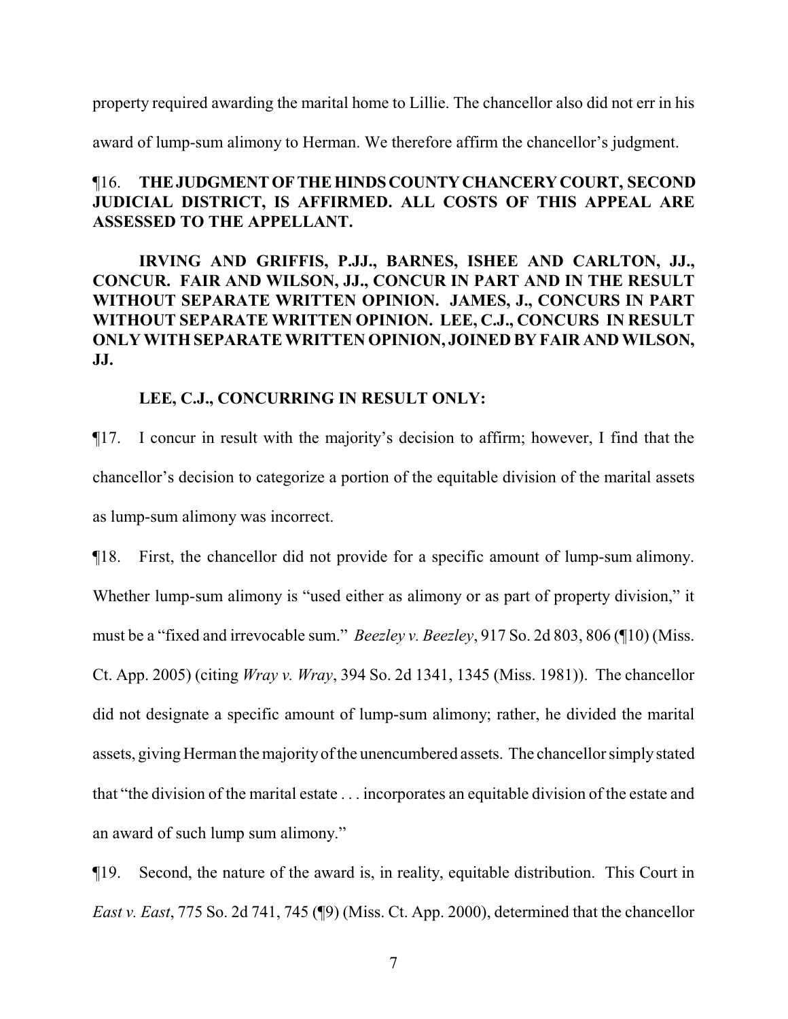property required awarding the marital home to Lillie. The chancellor also did not err in his

award of lump-sum alimony to Herman. We therefore affirm the chancellor's judgment.

# ¶16. **THEJUDGMENTOFTHEHINDSCOUNTYCHANCERYCOURT, SECOND JUDICIAL DISTRICT, IS AFFIRMED. ALL COSTS OF THIS APPEAL ARE ASSESSED TO THE APPELLANT.**

**IRVING AND GRIFFIS, P.JJ., BARNES, ISHEE AND CARLTON, JJ., CONCUR. FAIR AND WILSON, JJ., CONCUR IN PART AND IN THE RESULT WITHOUT SEPARATE WRITTEN OPINION. JAMES, J., CONCURS IN PART WITHOUT SEPARATE WRITTEN OPINION. LEE, C.J., CONCURS IN RESULT ONLY WITH SEPARATE WRITTEN OPINION, JOINED BY FAIR AND WILSON, JJ.** 

#### **LEE, C.J., CONCURRING IN RESULT ONLY:**

¶17. I concur in result with the majority's decision to affirm; however, I find that the chancellor's decision to categorize a portion of the equitable division of the marital assets as lump-sum alimony was incorrect.

¶18. First, the chancellor did not provide for a specific amount of lump-sum alimony. Whether lump-sum alimony is "used either as alimony or as part of property division," it must be a "fixed and irrevocable sum." *Beezley v. Beezley*, 917 So. 2d 803, 806 (¶10) (Miss. Ct. App. 2005) (citing *Wray v. Wray*, 394 So. 2d 1341, 1345 (Miss. 1981)). The chancellor did not designate a specific amount of lump-sum alimony; rather, he divided the marital assets, giving Herman the majority of the unencumbered assets. The chancellor simply stated that "the division of the marital estate . . . incorporates an equitable division of the estate and an award of such lump sum alimony."

¶19. Second, the nature of the award is, in reality, equitable distribution. This Court in *East v. East*, 775 So. 2d 741, 745 (¶9) (Miss. Ct. App. 2000), determined that the chancellor